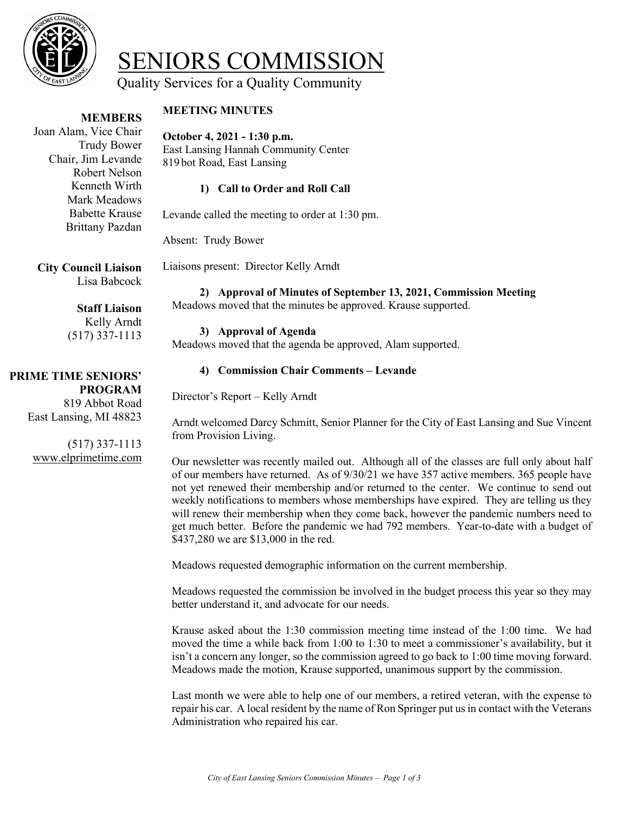

# SENIORS COMMISSION<br>Quality Services for a Quality Community

#### **MEMBERS**

# **MEETING MINUTES**

 Brittany Pazdan Joan Alam, Vice Chair Trudy Bower Chair, Jim Levande Robert Nelson Kenneth Wirth Mark Meadows Babette Krause

# **October 4, 2021 - 1:30 p.m.**

East Lansing Hannah Community Center 819 bot Road, East Lansing

#### **1) Call to Order and Roll Call**

Levande called the meeting to order at 1:30 pm.

Absent: Trudy Bower

**City Council Liaison** Lisa Babcock

# **Staff Liaison**

Kelly Arndt (517) 337-1113

# **PRIME TIME SENIORS' PROGRAM**

819 Abbot Road East Lansing, MI 48823

(517) 337-1113 www.elprimetime.com

Liaisons present: Director Kelly Arndt

# **2) Approval of Minutes of September 13, 2021, Commission Meeting**

Meadows moved that the minutes be approved. Krause supported.

#### **3) Approval of Agenda**

Meadows moved that the agenda be approved, Alam supported.

#### **4) Commission Chair Comments – Levande**

Director's Report – Kelly Arndt

Arndt welcomed Darcy Schmitt, Senior Planner for the City of East Lansing and Sue Vincent from Provision Living.

Our newsletter was recently mailed out. Although all of the classes are full only about half of our members have returned. As of 9/30/21 we have 357 active members. 365 people have not yet renewed their membership and/or returned to the center. We continue to send out weekly notifications to members whose memberships have expired. They are telling us they will renew their membership when they come back, however the pandemic numbers need to get much better. Before the pandemic we had 792 members. Year-to-date with a budget of \$437,280 we are \$13,000 in the red.

Meadows requested demographic information on the current membership.

Meadows requested the commission be involved in the budget process this year so they may better understand it, and advocate for our needs.

Krause asked about the 1:30 commission meeting time instead of the 1:00 time. We had moved the time a while back from 1:00 to 1:30 to meet a commissioner's availability, but it isn't a concern any longer, so the commission agreed to go back to 1:00 time moving forward. Meadows made the motion, Krause supported, unanimous support by the commission.

Last month we were able to help one of our members, a retired veteran, with the expense to repair his car. A local resident by the name of Ron Springer put us in contact with the Veterans Administration who repaired his car.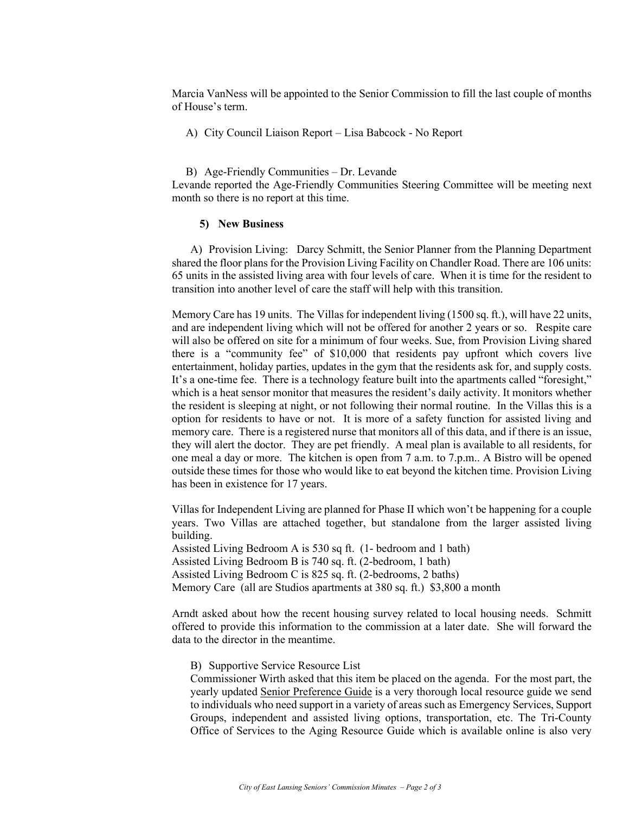Marcia VanNess will be appointed to the Senior Commission to fill the last couple of months of House's term.

A) City Council Liaison Report – Lisa Babcock - No Report

B) Age-Friendly Communities – Dr. Levande Levande reported the Age-Friendly Communities Steering Committee will be meeting next month so there is no report at this time.

#### **5) New Business**

A) Provision Living: Darcy Schmitt, the Senior Planner from the Planning Department shared the floor plans for the Provision Living Facility on Chandler Road. There are 106 units: 65 units in the assisted living area with four levels of care. When it is time for the resident to transition into another level of care the staff will help with this transition.

Memory Care has 19 units. The Villas for independent living (1500 sq. ft.), will have 22 units, and are independent living which will not be offered for another 2 years or so. Respite care will also be offered on site for a minimum of four weeks. Sue, from Provision Living shared there is a "community fee" of \$10,000 that residents pay upfront which covers live entertainment, holiday parties, updates in the gym that the residents ask for, and supply costs. It's a one-time fee. There is a technology feature built into the apartments called "foresight," which is a heat sensor monitor that measures the resident's daily activity. It monitors whether the resident is sleeping at night, or not following their normal routine. In the Villas this is a option for residents to have or not. It is more of a safety function for assisted living and memory care. There is a registered nurse that monitors all of this data, and if there is an issue, they will alert the doctor. They are pet friendly. A meal plan is available to all residents, for one meal a day or more. The kitchen is open from 7 a.m. to 7.p.m.. A Bistro will be opened outside these times for those who would like to eat beyond the kitchen time. Provision Living has been in existence for 17 years.

Villas for Independent Living are planned for Phase II which won't be happening for a couple years. Two Villas are attached together, but standalone from the larger assisted living building.

Assisted Living Bedroom A is 530 sq ft. (1- bedroom and 1 bath) Assisted Living Bedroom B is 740 sq. ft. (2-bedroom, 1 bath) Assisted Living Bedroom C is 825 sq. ft. (2-bedrooms, 2 baths) Memory Care (all are Studios apartments at 380 sq. ft.) \$3,800 a month

Arndt asked about how the recent housing survey related to local housing needs. Schmitt offered to provide this information to the commission at a later date. She will forward the data to the director in the meantime.

B) Supportive Service Resource List

Commissioner Wirth asked that this item be placed on the agenda. For the most part, the yearly updated Senior Preference Guide is a very thorough local resource guide we send to individuals who need support in a variety of areas such as Emergency Services, Support Groups, independent and assisted living options, transportation, etc. The Tri-County Office of Services to the Aging Resource Guide which is available online is also very